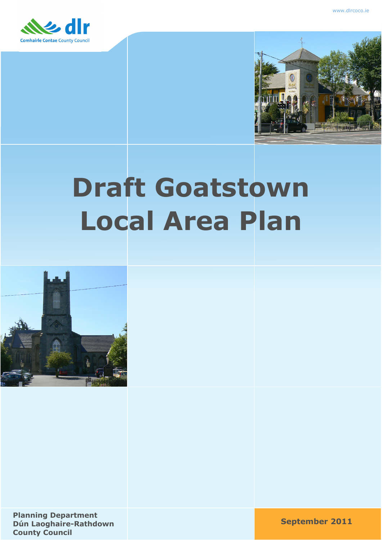



# **Draft Goatstown Local Area Plan**



**September 2011 Planning Department Dún Laoghaire-Rathdown County Council**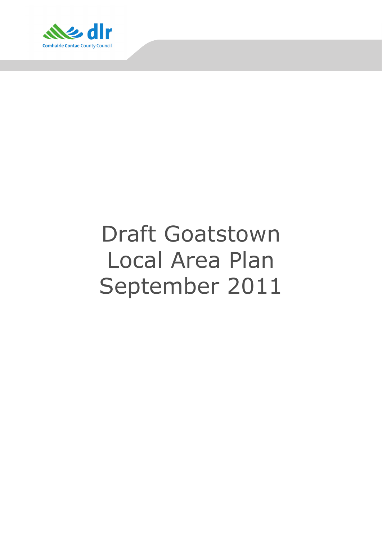

# Draft Goatstown Local Area Plan September 2011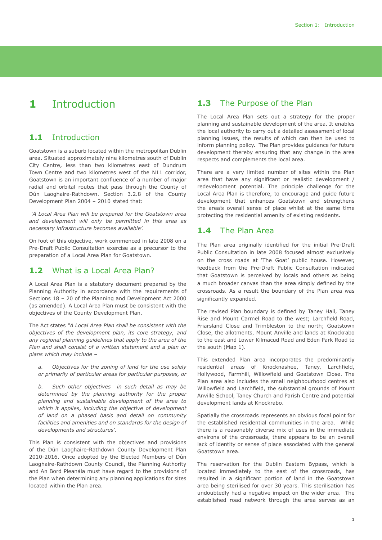# **1** Introduction

#### **1.1** Introduction

Goatstown is a suburb located within the metropolitan Dublin area. Situated approximately nine kilometres south of Dublin City Centre, less than two kilometres east of Dundrum Town Centre and two kilometres west of the N11 corridor, Goatstown is an important confluence of a number of major radial and orbital routes that pass through the County of Dún Laoghaire-Rathdown. Section 3.2.8 of the County Development Plan 2004 – 2010 stated that:

 *'A Local Area Plan will be prepared for the Goatstown area and development will only be permitted in this area as necessary infrastructure becomes available'.* 

On foot of this objective, work commenced in late 2008 on a Pre-Draft Public Consultation exercise as a precursor to the preparation of a Local Area Plan for Goatstown.

#### **1.2** What is a Local Area Plan?

A Local Area Plan is a statutory document prepared by the Planning Authority in accordance with the requirements of Sections 18 – 20 of the Planning and Development Act 2000 (as amended). A Local Area Plan must be consistent with the objectives of the County Development Plan.

The Act states *"A Local Area Plan shall be consistent with the objectives of the development plan, its core strategy, and any regional planning guidelines that apply to the area of the Plan and shall consist of a written statement and a plan or plans which may include –* 

*a. Objectives for the zoning of land for the use solely or primarily of particular areas for particular purposes, or*

*b. Such other objectives in such detail as may be determined by the planning authority for the proper planning and sustainable development of the area to which it applies, including the objective of development of land on a phased basis and detail on community facilities and amenities and on standards for the design of developments and structures'.* 

This Plan is consistent with the objectives and provisions of the Dún Laoghaire-Rathdown County Development Plan 2010-2016. Once adopted by the Elected Members of Dún Laoghaire-Rathdown County Council, the Planning Authority and An Bord Pleanála must have regard to the provisions of the Plan when determining any planning applications for sites located within the Plan area.

#### 1.3 The Purpose of the Plan

The Local Area Plan sets out a strategy for the proper planning and sustainable development of the area. It enables the local authority to carry out a detailed assessment of local planning issues, the results of which can then be used to inform planning policy. The Plan provides guidance for future development thereby ensuring that any change in the area respects and complements the local area.

There are a very limited number of sites within the Plan area that have any significant or realistic development / redevelopment potential. The principle challenge for the Local Area Plan is therefore, to encourage and guide future development that enhances Goatstown and strengthens the area's overall sense of place whilst at the same time protecting the residential amenity of existing residents.

#### **1.4** The Plan Area

The Plan area originally identified for the initial Pre-Draft Public Consultation in late 2008 focused almost exclusively on the cross roads at 'The Goat' public house. However, feedback from the Pre-Draft Public Consultation indicated that Goatstown is perceived by locals and others as being a much broader canvas than the area simply defined by the crossroads. As a result the boundary of the Plan area was significantly expanded.

The revised Plan boundary is defined by Taney Hall, Taney Rise and Mount Carmel Road to the west; Larchfield Road, Friarsland Close and Trimbleston to the north; Goatstown Close, the allotments, Mount Anville and lands at Knockrabo to the east and Lower Kilmacud Road and Eden Park Road to the south (Map 1).

This extended Plan area incorporates the predominantly residential areas of Knocknashee, Taney, Larchfield, Hollywood, Farmhill, Willowfield and Goatstown Close. The Plan area also includes the small neighbourhood centres at Willowfield and Larchfield, the substantial grounds of Mount Anville School, Taney Church and Parish Centre and potential development lands at Knockrabo.

Spatially the crossroads represents an obvious focal point for the established residential communities in the area. While there is a reasonably diverse mix of uses in the immediate environs of the crossroads, there appears to be an overall lack of identity or sense of place associated with the general Goatstown area.

The reservation for the Dublin Eastern Bypass, which is located immediately to the east of the crossroads, has resulted in a significant portion of land in the Goatstown area being sterilised for over 30 years. This sterilisation has undoubtedly had a negative impact on the wider area. The established road network through the area serves as an